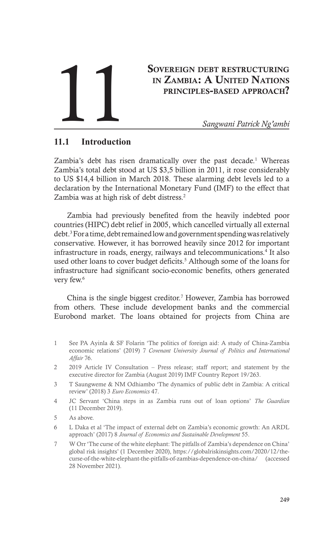# Sovereign debt restructuring in Zambia: A United Nations principles-based approach? SOVEREIGN DEBT RESTRUCTURING<br>IN ZAMBIA: A UNITED NATIONS<br>PRINCIPLES-BASED APPROACH?<br>Sangwani Patrick Ng'ambi

# **11.1 Introduction**

Zambia's debt has risen dramatically over the past decade.<sup>1</sup> Whereas Zambia's total debt stood at US \$3,5 billion in 2011, it rose considerably to US \$14,4 billion in March 2018. These alarming debt levels led to a declaration by the International Monetary Fund (IMF) to the effect that Zambia was at high risk of debt distress.<sup>2</sup>

Zambia had previously benefited from the heavily indebted poor countries (HIPC) debt relief in 2005, which cancelled virtually all external debt.3 For a time, debt remained low and government spending was relatively conservative. However, it has borrowed heavily since 2012 for important infrastructure in roads, energy, railways and telecommunications.<sup>4</sup> It also used other loans to cover budget deficits.<sup>5</sup> Although some of the loans for infrastructure had significant socio-economic benefits, others generated very few.<sup>6</sup>

China is the single biggest creditor.7 However, Zambia has borrowed from others. These include development banks and the commercial Eurobond market. The loans obtained for projects from China are

- 1 See PA Ayinla & SF Folarin 'The politics of foreign aid: A study of China-Zambia economic relations' (2019) 7 *Covenant University Journal of Politics and International Affair* 76.
- 2 2019 Article IV Consultation Press release; staff report; and statement by the executive director for Zambia (August 2019) IMF Country Report 19/263.
- 3 T Saungweme & NM Odhiambo 'The dynamics of public debt in Zambia: A critical review' (2018) 3 *Euro Economics* 47.
- 4 JC Servant 'China steps in as Zambia runs out of loan options' *The Guardian* (11 December 2019).
- 5 As above.
- 6 L Daka et al 'The impact of external debt on Zambia's economic growth: An ARDL approach' (2017) 8 *Journal of Economics and Sustainable Development* 55.
- 7 W Orr 'The curse of the white elephant: The pitfalls of Zambia's dependence on China' global risk insights' (1 December 2020), https://globalriskinsights.com/2020/12/thecurse-of-the-white-elephant-the-pitfalls-of-zambias-dependence-on-china/ (accessed 28 November 2021).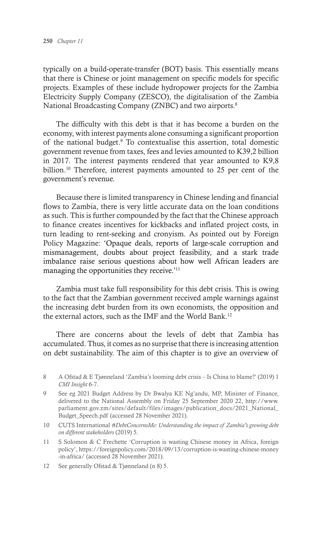typically on a build-operate-transfer (BOT) basis. This essentially means that there is Chinese or joint management on specific models for specific projects. Examples of these include hydropower projects for the Zambia Electricity Supply Company (ZESCO), the digitalisation of the Zambia National Broadcasting Company (ZNBC) and two airports.<sup>8</sup>

The difficulty with this debt is that it has become a burden on the economy, with interest payments alone consuming a significant proportion of the national budget.<sup>9</sup> To contextualise this assertion, total domestic government revenue from taxes, fees and levies amounted to K39,2 billion in 2017. The interest payments rendered that year amounted to K9,8 billion.<sup>10</sup> Therefore, interest payments amounted to 25 per cent of the government's revenue.

Because there is limited transparency in Chinese lending and financial flows to Zambia, there is very little accurate data on the loan conditions as such. This is further compounded by the fact that the Chinese approach to finance creates incentives for kickbacks and inflated project costs, in turn leading to rent-seeking and cronyism. As pointed out by Foreign Policy Magazine: 'Opaque deals, reports of large-scale corruption and mismanagement, doubts about project feasibility, and a stark trade imbalance raise serious questions about how well African leaders are managing the opportunities they receive.'<sup>11</sup>

Zambia must take full responsibility for this debt crisis. This is owing to the fact that the Zambian government received ample warnings against the increasing debt burden from its own economists, the opposition and the external actors, such as the IMF and the World Bank.<sup>12</sup>

There are concerns about the levels of debt that Zambia has accumulated. Thus, it comes as no surprise that there is increasing attention on debt sustainability. The aim of this chapter is to give an overview of

<sup>8</sup> A Ofstad & E Tjønneland 'Zambia's looming debt crisis – Is China to blame?' (2019) 1 *CMI Insight* 6-7.

<sup>9</sup> See eg 2021 Budget Address by Dr Bwalya KE Ng'andu, MP, Minister of Finance, delivered to the National Assembly on Friday 25 September 2020 22, http://www. parliament.gov.zm/sites/default/files/images/publication\_docs/2021\_National\_ Budget Speech.pdf (accessed 28 November 2021).

<sup>10</sup> CUTS International *#DebtConcernsMe: Understanding the impact of Zambia's growing debt on different stakeholders* (2019) 5.

<sup>11</sup> S Solomon & C Frechette 'Corruption is wasting Chinese money in Africa, foreign policy', https://foreignpolicy.com/2018/09/13/corruption-is-wasting-chinese-money -in-africa/ (accessed 28 November 2021).

<sup>12</sup> See generally Ofstad & Tjønneland (n 8) 5.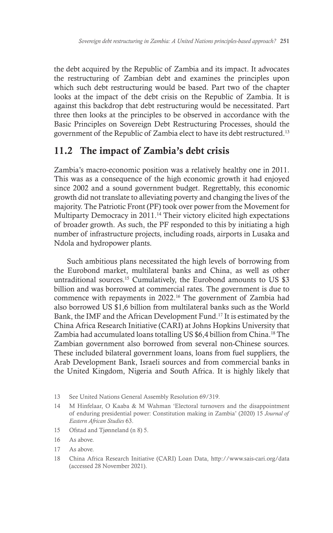the debt acquired by the Republic of Zambia and its impact. It advocates the restructuring of Zambian debt and examines the principles upon which such debt restructuring would be based. Part two of the chapter looks at the impact of the debt crisis on the Republic of Zambia. It is against this backdrop that debt restructuring would be necessitated. Part three then looks at the principles to be observed in accordance with the Basic Principles on Sovereign Debt Restructuring Processes, should the government of the Republic of Zambia elect to have its debt restructured.13

# 11.2 The impact of Zambia's debt crisis

Zambia's macro-economic position was a relatively healthy one in 2011. This was as a consequence of the high economic growth it had enjoyed since 2002 and a sound government budget. Regrettably, this economic growth did not translate to alleviating poverty and changing the lives of the majority. The Patriotic Front (PF) took over power from the Movement for Multiparty Democracy in 2011.<sup>14</sup> Their victory elicited high expectations of broader growth. As such, the PF responded to this by initiating a high number of infrastructure projects, including roads, airports in Lusaka and Ndola and hydropower plants.

Such ambitious plans necessitated the high levels of borrowing from the Eurobond market, multilateral banks and China, as well as other untraditional sources.<sup>15</sup> Cumulatively, the Eurobond amounts to US \$3 billion and was borrowed at commercial rates. The government is due to commence with repayments in 2022.16 The government of Zambia had also borrowed US \$1,6 billion from multilateral banks such as the World Bank, the IMF and the African Development Fund.17 It is estimated by the China Africa Research Initiative (CARI) at Johns Hopkins University that Zambia had accumulated loans totalling US \$6,4 billion from China.18 The Zambian government also borrowed from several non-Chinese sources. These included bilateral government loans, loans from fuel suppliers, the Arab Development Bank, Israeli sources and from commercial banks in the United Kingdom, Nigeria and South Africa. It is highly likely that

- 13 See United Nations General Assembly Resolution 69/319.
- 14 M Hinfelaar, O Kaaba & M Wahman 'Electoral turnovers and the disappointment of enduring presidential power: Constitution making in Zambia' (2020) 15 *Journal of Eastern African Studies* 63.
- 15 Ofstad and Tjønneland (n 8) 5.
- 16 As above.
- 17 As above.
- 18 China Africa Research Initiative (CARI) Loan Data, http://www.sais-cari.org/data (accessed 28 November 2021).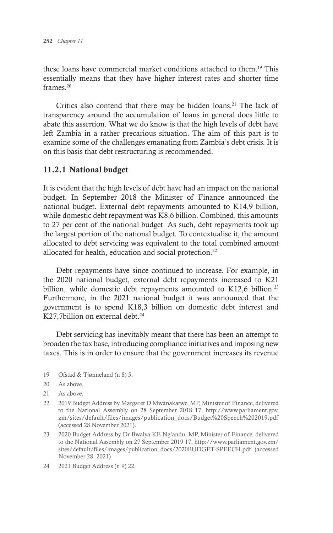these loans have commercial market conditions attached to them.19 This essentially means that they have higher interest rates and shorter time frames.<sup>20</sup>

Critics also contend that there may be hidden loans.<sup>21</sup> The lack of transparency around the accumulation of loans in general does little to abate this assertion. What we do know is that the high levels of debt have left Zambia in a rather precarious situation. The aim of this part is to examine some of the challenges emanating from Zambia's debt crisis. It is on this basis that debt restructuring is recommended.

#### 11.2.1 National budget

It is evident that the high levels of debt have had an impact on the national budget. In September 2018 the Minister of Finance announced the national budget. External debt repayments amounted to K14,9 billion, while domestic debt repayment was K8,6 billion. Combined, this amounts to 27 per cent of the national budget. As such, debt repayments took up the largest portion of the national budget. To contextualise it, the amount allocated to debt servicing was equivalent to the total combined amount allocated for health, education and social protection.<sup>22</sup>

Debt repayments have since continued to increase. For example, in the 2020 national budget, external debt repayments increased to K21 billion, while domestic debt repayments amounted to  $K12,6$  billion.<sup>23</sup> Furthermore, in the 2021 national budget it was announced that the government is to spend K18,3 billion on domestic debt interest and K27,7billion on external debt.<sup>24</sup>

Debt servicing has inevitably meant that there has been an attempt to broaden the tax base, introducing compliance initiatives and imposing new taxes. This is in order to ensure that the government increases its revenue

- 19 Ofstad & Tjønneland (n 8) 5.
- 20 As above.
- 21 As above.
- 22 2019 Budget Address by Margaret D Mwanakatwe, MP, Minister of Finance, delivered to the National Assembly on 28 September 2018 17, http://www.parliament.gov. zm/sites/default/files/images/publication\_docs/Budget%20Speech%202019.pdf (accessed 28 November 2021).
- 23 2020 Budget Address by Dr Bwalya KE Ng'andu, MP, Minister of Finance, delivered to the National Assembly on 27 September 2019 17, http://www.parliament.gov.zm/ sites/default/files/images/publication\_docs/2020BUDGET-SPEECH.pdf (accessed November 28. 2021)
- 24 2021 Budget Address (n 9) 22.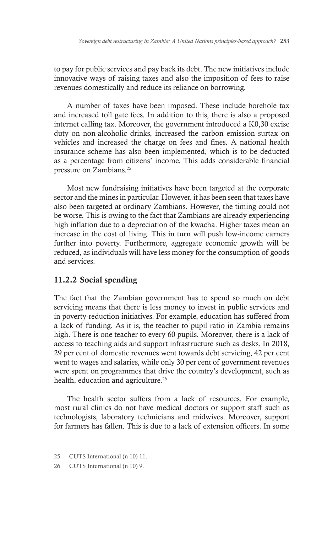to pay for public services and pay back its debt. The new initiatives include innovative ways of raising taxes and also the imposition of fees to raise revenues domestically and reduce its reliance on borrowing.

A number of taxes have been imposed. These include borehole tax and increased toll gate fees. In addition to this, there is also a proposed internet calling tax. Moreover, the government introduced a K0,30 excise duty on non-alcoholic drinks, increased the carbon emission surtax on vehicles and increased the charge on fees and fines. A national health insurance scheme has also been implemented, which is to be deducted as a percentage from citizens' income. This adds considerable financial pressure on Zambians.25

Most new fundraising initiatives have been targeted at the corporate sector and the mines in particular. However, it has been seen that taxes have also been targeted at ordinary Zambians. However, the timing could not be worse. This is owing to the fact that Zambians are already experiencing high inflation due to a depreciation of the kwacha. Higher taxes mean an increase in the cost of living. This in turn will push low-income earners further into poverty. Furthermore, aggregate economic growth will be reduced, as individuals will have less money for the consumption of goods and services.

#### 11.2.2 Social spending

The fact that the Zambian government has to spend so much on debt servicing means that there is less money to invest in public services and in poverty-reduction initiatives. For example, education has suffered from a lack of funding. As it is, the teacher to pupil ratio in Zambia remains high. There is one teacher to every 60 pupils. Moreover, there is a lack of access to teaching aids and support infrastructure such as desks. In 2018, 29 per cent of domestic revenues went towards debt servicing, 42 per cent went to wages and salaries, while only 30 per cent of government revenues were spent on programmes that drive the country's development, such as health, education and agriculture.<sup>26</sup>

The health sector suffers from a lack of resources. For example, most rural clinics do not have medical doctors or support staff such as technologists, laboratory technicians and midwives. Moreover, support for farmers has fallen. This is due to a lack of extension officers. In some

- 25 CUTS International (n 10) 11.
- 26 CUTS International (n 10) 9.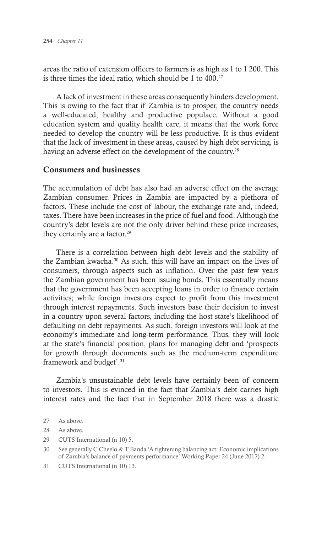areas the ratio of extension officers to farmers is as high as 1 to 1 200. This is three times the ideal ratio, which should be  $1$  to  $400.^{27}$ 

A lack of investment in these areas consequently hinders development. This is owing to the fact that if Zambia is to prosper, the country needs a well-educated, healthy and productive populace. Without a good education system and quality health care, it means that the work force needed to develop the country will be less productive. It is thus evident that the lack of investment in these areas, caused by high debt servicing, is having an adverse effect on the development of the country.<sup>28</sup>

#### Consumers and businesses

The accumulation of debt has also had an adverse effect on the average Zambian consumer. Prices in Zambia are impacted by a plethora of factors. These include the cost of labour, the exchange rate and, indeed, taxes. There have been increases in the price of fuel and food. Although the country's debt levels are not the only driver behind these price increases, they certainly are a factor.<sup>29</sup>

There is a correlation between high debt levels and the stability of the Zambian kwacha.30 As such, this will have an impact on the lives of consumers, through aspects such as inflation. Over the past few years the Zambian government has been issuing bonds. This essentially means that the government has been accepting loans in order to finance certain activities; while foreign investors expect to profit from this investment through interest repayments. Such investors base their decision to invest in a country upon several factors, including the host state's likelihood of defaulting on debt repayments. As such, foreign investors will look at the economy's immediate and long-term performance. Thus, they will look at the state's financial position, plans for managing debt and 'prospects for growth through documents such as the medium-term expenditure framework and budget'.31

Zambia's unsustainable debt levels have certainly been of concern to investors. This is evinced in the fact that Zambia's debt carries high interest rates and the fact that in September 2018 there was a drastic

29 CUTS International (n 10) 5.

31 CUTS International (n 10) 13.

<sup>27</sup> As above.

<sup>28</sup> As above.

<sup>30</sup> See generally C Cheelo & T Banda 'A tightening balancing act: Economic implications of Zambia's balance of payments performance' Working Paper 24 (June 2017) 2.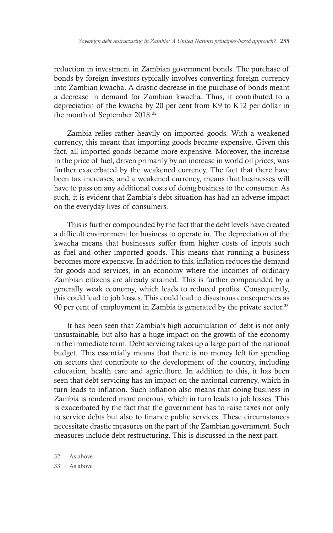reduction in investment in Zambian government bonds. The purchase of bonds by foreign investors typically involves converting foreign currency into Zambian kwacha. A drastic decrease in the purchase of bonds meant a decrease in demand for Zambian kwacha. Thus, it contributed to a depreciation of the kwacha by 20 per cent from K9 to K12 per dollar in the month of September 2018.32

Zambia relies rather heavily on imported goods. With a weakened currency, this meant that importing goods became expensive. Given this fact, all imported goods became more expensive. Moreover, the increase in the price of fuel, driven primarily by an increase in world oil prices, was further exacerbated by the weakened currency. The fact that there have been tax increases, and a weakened currency, means that businesses will have to pass on any additional costs of doing business to the consumer. As such, it is evident that Zambia's debt situation has had an adverse impact on the everyday lives of consumers.

This is further compounded by the fact that the debt levels have created a difficult environment for business to operate in. The depreciation of the kwacha means that businesses suffer from higher costs of inputs such as fuel and other imported goods. This means that running a business becomes more expensive. In addition to this, inflation reduces the demand for goods and services, in an economy where the incomes of ordinary Zambian citizens are already strained. This is further compounded by a generally weak economy, which leads to reduced profits. Consequently, this could lead to job losses. This could lead to disastrous consequences as 90 per cent of employment in Zambia is generated by the private sector.<sup>33</sup>

It has been seen that Zambia's high accumulation of debt is not only unsustainable, but also has a huge impact on the growth of the economy in the immediate term. Debt servicing takes up a large part of the national budget. This essentially means that there is no money left for spending on sectors that contribute to the development of the country, including education, health care and agriculture. In addition to this, it has been seen that debt servicing has an impact on the national currency, which in turn leads to inflation. Such inflation also means that doing business in Zambia is rendered more onerous, which in turn leads to job losses. This is exacerbated by the fact that the government has to raise taxes not only to service debts but also to finance public services. These circumstances necessitate drastic measures on the part of the Zambian government. Such measures include debt restructuring. This is discussed in the next part.

32 As above.

33 As above.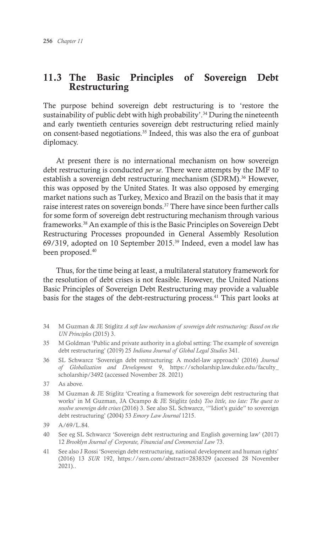# 11.3 The Basic Principles of Sovereign Debt Restructuring

The purpose behind sovereign debt restructuring is to 'restore the sustainability of public debt with high probability'.<sup>34</sup> During the nineteenth and early twentieth centuries sovereign debt restructuring relied mainly on consent-based negotiations.35 Indeed, this was also the era of gunboat diplomacy.

At present there is no international mechanism on how sovereign debt restructuring is conducted *per se*. There were attempts by the IMF to establish a sovereign debt restructuring mechanism (SDRM).<sup>36</sup> However, this was opposed by the United States. It was also opposed by emerging market nations such as Turkey, Mexico and Brazil on the basis that it may raise interest rates on sovereign bonds.<sup>37</sup> There have since been further calls for some form of sovereign debt restructuring mechanism through various frameworks.38 An example of this is the Basic Principles on Sovereign Debt Restructuring Processes propounded in General Assembly Resolution 69/319, adopted on 10 September 2015.39 Indeed, even a model law has been proposed.<sup>40</sup>

Thus, for the time being at least, a multilateral statutory framework for the resolution of debt crises is not feasible. However, the United Nations Basic Principles of Sovereign Debt Restructuring may provide a valuable basis for the stages of the debt-restructuring process.<sup>41</sup> This part looks at

- 34 M Guzman & JE Stiglitz *A soft law mechanism of sovereign debt restructuring: Based on the UN Principles* (2015) 3.
- 35 M Goldman 'Public and private authority in a global setting: The example of sovereign debt restructuring' (2019) 25 *Indiana Journal of Global Legal Studies* 341.
- 36 SL Schwarcz 'Sovereign debt restructuring: A model-law approach' (2016) *Journal of Globalization and Development* 9, https://scholarship.law.duke.edu/faculty\_ scholarship/3492 (accessed November 28. 2021)
- 37 As above.
- 38 M Guzman & JE Stiglitz 'Creating a framework for sovereign debt restructuring that works' in M Guzman, JA Ocampo & JE Stiglitz (eds) *Too little, too late: The quest to resolve sovereign debt crises* (2016) 3. See also SL Schwarcz, '"Idiot's guide" to sovereign debt restructuring' (2004) 53 *Emory Law Journal* 1215.

- 40 See eg SL Schwarcz 'Sovereign debt restructuring and English governing law' (2017) 12 *Brooklyn Journal of Corporate, Financial and Commercial Law* 73.
- 41 See also J Rossi 'Sovereign debt restructuring, national development and human rights' (2016) 13 *SUR* 192, https://ssrn.com/abstract=2838329 (accessed 28 November 2021)..

<sup>39</sup> A/69/L.84.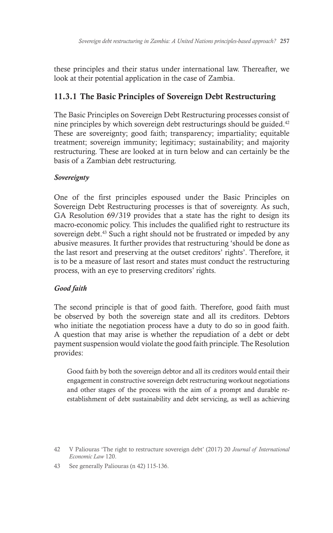these principles and their status under international law. Thereafter, we look at their potential application in the case of Zambia.

# 11.3.1 The Basic Principles of Sovereign Debt Restructuring

The Basic Principles on Sovereign Debt Restructuring processes consist of nine principles by which sovereign debt restructurings should be guided.42 These are sovereignty; good faith; transparency; impartiality; equitable treatment; sovereign immunity; legitimacy; sustainability; and majority restructuring. These are looked at in turn below and can certainly be the basis of a Zambian debt restructuring.

### *Sovereignty*

One of the first principles espoused under the Basic Principles on Sovereign Debt Restructuring processes is that of sovereignty. As such, GA Resolution 69/319 provides that a state has the right to design its macro-economic policy. This includes the qualified right to restructure its sovereign debt.<sup>43</sup> Such a right should not be frustrated or impeded by any abusive measures. It further provides that restructuring 'should be done as the last resort and preserving at the outset creditors' rights'. Therefore, it is to be a measure of last resort and states must conduct the restructuring process, with an eye to preserving creditors' rights.

## *Good faith*

The second principle is that of good faith. Therefore, good faith must be observed by both the sovereign state and all its creditors. Debtors who initiate the negotiation process have a duty to do so in good faith. A question that may arise is whether the repudiation of a debt or debt payment suspension would violate the good faith principle. The Resolution provides:

Good faith by both the sovereign debtor and all its creditors would entail their engagement in constructive sovereign debt restructuring workout negotiations and other stages of the process with the aim of a prompt and durable reestablishment of debt sustainability and debt servicing, as well as achieving

<sup>42</sup> V Paliouras 'The right to restructure sovereign debt' (2017) 20 *Journal of International Economic Law* 120.

<sup>43</sup> See generally Paliouras (n 42) 115-136.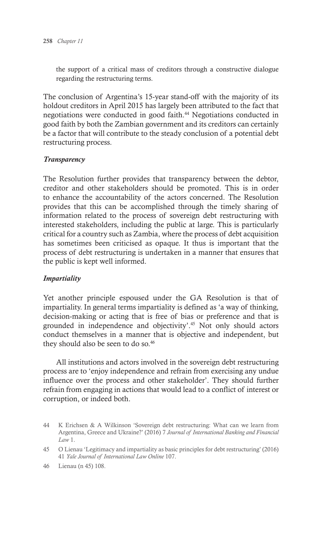the support of a critical mass of creditors through a constructive dialogue regarding the restructuring terms.

The conclusion of Argentina's 15-year stand-off with the majority of its holdout creditors in April 2015 has largely been attributed to the fact that negotiations were conducted in good faith.<sup>44</sup> Negotiations conducted in good faith by both the Zambian government and its creditors can certainly be a factor that will contribute to the steady conclusion of a potential debt restructuring process.

#### *Transparency*

The Resolution further provides that transparency between the debtor, creditor and other stakeholders should be promoted. This is in order to enhance the accountability of the actors concerned. The Resolution provides that this can be accomplished through the timely sharing of information related to the process of sovereign debt restructuring with interested stakeholders, including the public at large. This is particularly critical for a country such as Zambia, where the process of debt acquisition has sometimes been criticised as opaque. It thus is important that the process of debt restructuring is undertaken in a manner that ensures that the public is kept well informed.

#### *Impartiality*

Yet another principle espoused under the GA Resolution is that of impartiality. In general terms impartiality is defined as 'a way of thinking, decision-making or acting that is free of bias or preference and that is grounded in independence and objectivity'.45 Not only should actors conduct themselves in a manner that is objective and independent, but they should also be seen to do so.<sup>46</sup>

All institutions and actors involved in the sovereign debt restructuring process are to 'enjoy independence and refrain from exercising any undue influence over the process and other stakeholder'. They should further refrain from engaging in actions that would lead to a conflict of interest or corruption, or indeed both.

<sup>44</sup> K Erichsen & A Wilkinson 'Sovereign debt restructuring: What can we learn from Argentina, Greece and Ukraine?' (2016) 7 *Journal of International Banking and Financial Law* 1.

<sup>45</sup> O Lienau 'Legitimacy and impartiality as basic principles for debt restructuring' (2016) 41 *Yale Journal of International Law Online* 107.

<sup>46</sup> Lienau (n 45) 108.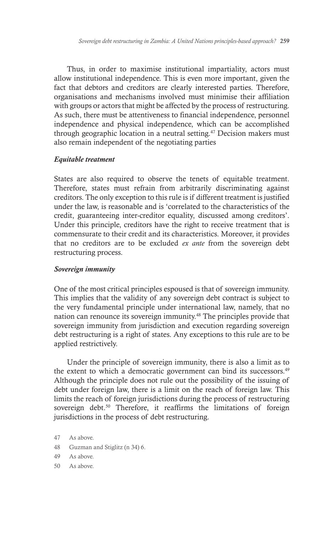Thus, in order to maximise institutional impartiality, actors must allow institutional independence. This is even more important, given the fact that debtors and creditors are clearly interested parties. Therefore, organisations and mechanisms involved must minimise their affiliation with groups or actors that might be affected by the process of restructuring. As such, there must be attentiveness to financial independence, personnel independence and physical independence, which can be accomplished through geographic location in a neutral setting.<sup> $47$ </sup> Decision makers must also remain independent of the negotiating parties

#### *Equitable treatment*

States are also required to observe the tenets of equitable treatment. Therefore, states must refrain from arbitrarily discriminating against creditors. The only exception to this rule is if different treatment is justified under the law, is reasonable and is 'correlated to the characteristics of the credit, guaranteeing inter-creditor equality, discussed among creditors'. Under this principle, creditors have the right to receive treatment that is commensurate to their credit and its characteristics. Moreover, it provides that no creditors are to be excluded *ex ante* from the sovereign debt restructuring process.

#### *Sovereign immunity*

One of the most critical principles espoused is that of sovereign immunity. This implies that the validity of any sovereign debt contract is subject to the very fundamental principle under international law, namely, that no nation can renounce its sovereign immunity.48 The principles provide that sovereign immunity from jurisdiction and execution regarding sovereign debt restructuring is a right of states. Any exceptions to this rule are to be applied restrictively.

Under the principle of sovereign immunity, there is also a limit as to the extent to which a democratic government can bind its successors.<sup>49</sup> Although the principle does not rule out the possibility of the issuing of debt under foreign law, there is a limit on the reach of foreign law. This limits the reach of foreign jurisdictions during the process of restructuring sovereign debt.<sup>50</sup> Therefore, it reaffirms the limitations of foreign jurisdictions in the process of debt restructuring.

- 48 Guzman and Stiglitz (n 34) 6.
- 49 As above.
- 50 As above.

<sup>47</sup> As above.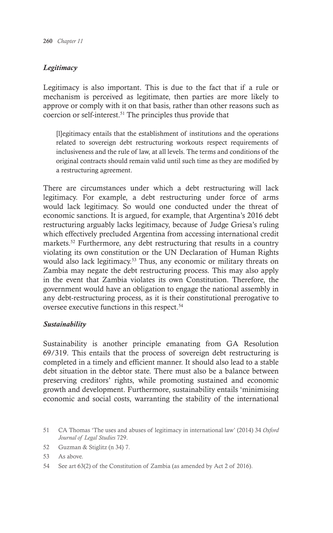#### *Legitimacy*

Legitimacy is also important. This is due to the fact that if a rule or mechanism is perceived as legitimate, then parties are more likely to approve or comply with it on that basis, rather than other reasons such as coercion or self-interest.51 The principles thus provide that

[l]egitimacy entails that the establishment of institutions and the operations related to sovereign debt restructuring workouts respect requirements of inclusiveness and the rule of law, at all levels. The terms and conditions of the original contracts should remain valid until such time as they are modified by a restructuring agreement.

There are circumstances under which a debt restructuring will lack legitimacy. For example, a debt restructuring under force of arms would lack legitimacy. So would one conducted under the threat of economic sanctions. It is argued, for example, that Argentina's 2016 debt restructuring arguably lacks legitimacy, because of Judge Griesa's ruling which effectively precluded Argentina from accessing international credit markets.<sup>52</sup> Furthermore, any debt restructuring that results in a country violating its own constitution or the UN Declaration of Human Rights would also lack legitimacy.<sup>53</sup> Thus, any economic or military threats on Zambia may negate the debt restructuring process. This may also apply in the event that Zambia violates its own Constitution. Therefore, the government would have an obligation to engage the national assembly in any debt-restructuring process, as it is their constitutional prerogative to oversee executive functions in this respect.54

#### *Sustainability*

Sustainability is another principle emanating from GA Resolution 69/319. This entails that the process of sovereign debt restructuring is completed in a timely and efficient manner. It should also lead to a stable debt situation in the debtor state. There must also be a balance between preserving creditors' rights, while promoting sustained and economic growth and development. Furthermore, sustainability entails 'minimising economic and social costs, warranting the stability of the international

- 52 Guzman & Stiglitz (n 34) 7.
- 53 As above.
- 54 See art 63(2) of the Constitution of Zambia (as amended by Act 2 of 2016).

<sup>51</sup> CA Thomas 'The uses and abuses of legitimacy in international law' (2014) 34 *Oxford Journal of Legal Studies* 729.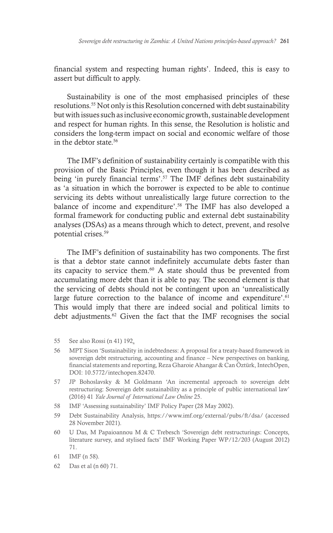financial system and respecting human rights'. Indeed, this is easy to assert but difficult to apply.

Sustainability is one of the most emphasised principles of these resolutions.55 Not only is this Resolution concerned with debt sustainability but with issues such as inclusive economic growth, sustainable development and respect for human rights. In this sense, the Resolution is holistic and considers the long-term impact on social and economic welfare of those in the debtor state.<sup>56</sup>

The IMF's definition of sustainability certainly is compatible with this provision of the Basic Principles, even though it has been described as being 'in purely financial terms'.57 The IMF defines debt sustainability as 'a situation in which the borrower is expected to be able to continue servicing its debts without unrealistically large future correction to the balance of income and expenditure'.58 The IMF has also developed a formal framework for conducting public and external debt sustainability analyses (DSAs) as a means through which to detect, prevent, and resolve potential crises.59

The IMF's definition of sustainability has two components. The first is that a debtor state cannot indefinitely accumulate debts faster than its capacity to service them.60 A state should thus be prevented from accumulating more debt than it is able to pay. The second element is that the servicing of debts should not be contingent upon an 'unrealistically large future correction to the balance of income and expenditure'.<sup>61</sup> This would imply that there are indeed social and political limits to debt adjustments.<sup>62</sup> Given the fact that the IMF recognises the social

- 55 See also Rossi (n 41) 192.
- 56 MPT Sison 'Sustainability in indebtedness: A proposal for a treaty-based framework in sovereign debt restructuring, accounting and finance – New perspectives on banking, financial statements and reporting, Reza Gharoie Ahangar & Can Öztürk, IntechOpen, DOI: 10.5772/intechopen.82470.
- 57 JP Bohoslavsky & M Goldmann 'An incremental approach to sovereign debt restructuring: Sovereign debt sustainability as a principle of public international law' (2016) 41 *Yale Journal of International Law Online* 25.
- 58 IMF 'Assessing sustainability' IMF Policy Paper (28 May 2002).
- 59 Debt Sustainability Analysis, https://www.imf.org/external/pubs/ft/dsa/ (accessed 28 November 2021).
- 60 U Das, M Papaioannou M & C Trebesch 'Sovereign debt restructurings: Concepts, literature survey, and stylised facts' IMF Working Paper WP/12/203 (August 2012) 71.
- 61 IMF (n 58).
- 62 Das et al (n 60) 71.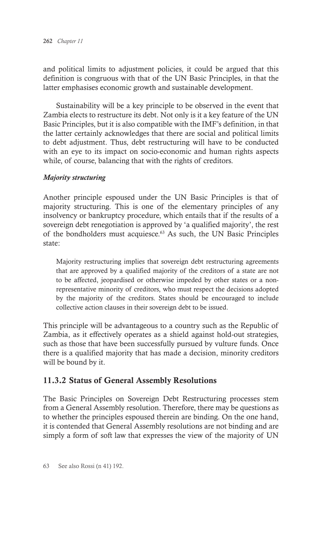and political limits to adjustment policies, it could be argued that this definition is congruous with that of the UN Basic Principles, in that the latter emphasises economic growth and sustainable development.

Sustainability will be a key principle to be observed in the event that Zambia elects to restructure its debt. Not only is it a key feature of the UN Basic Principles, but it is also compatible with the IMF's definition, in that the latter certainly acknowledges that there are social and political limits to debt adjustment. Thus, debt restructuring will have to be conducted with an eye to its impact on socio-economic and human rights aspects while, of course, balancing that with the rights of creditors.

#### *Majority structuring*

Another principle espoused under the UN Basic Principles is that of majority structuring. This is one of the elementary principles of any insolvency or bankruptcy procedure, which entails that if the results of a sovereign debt renegotiation is approved by 'a qualified majority', the rest of the bondholders must acquiesce.<sup>63</sup> As such, the UN Basic Principles state:

Majority restructuring implies that sovereign debt restructuring agreements that are approved by a qualified majority of the creditors of a state are not to be affected, jeopardised or otherwise impeded by other states or a nonrepresentative minority of creditors, who must respect the decisions adopted by the majority of the creditors. States should be encouraged to include collective action clauses in their sovereign debt to be issued.

This principle will be advantageous to a country such as the Republic of Zambia, as it effectively operates as a shield against hold-out strategies, such as those that have been successfully pursued by vulture funds. Once there is a qualified majority that has made a decision, minority creditors will be bound by it.

### 11.3.2 Status of General Assembly Resolutions

The Basic Principles on Sovereign Debt Restructuring processes stem from a General Assembly resolution. Therefore, there may be questions as to whether the principles espoused therein are binding. On the one hand, it is contended that General Assembly resolutions are not binding and are simply a form of soft law that expresses the view of the majority of UN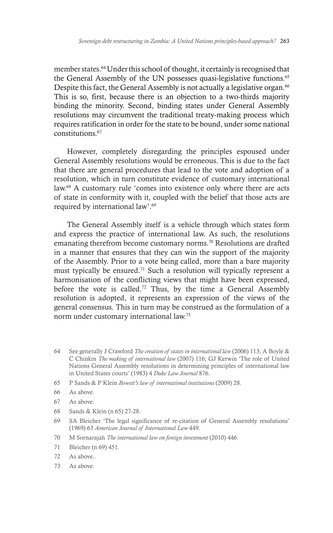member states. 64 Under this school of thought, it certainly is recognised that the General Assembly of the UN possesses quasi-legislative functions.<sup>65</sup> Despite this fact, the General Assembly is not actually a legislative organ.<sup>66</sup> This is so, first, because there is an objection to a two-thirds majority binding the minority. Second, binding states under General Assembly resolutions may circumvent the traditional treaty-making process which requires ratification in order for the state to be bound, under some national constitutions.<sup>67</sup>

However, completely disregarding the principles espoused under General Assembly resolutions would be erroneous. This is due to the fact that there are general procedures that lead to the vote and adoption of a resolution, which in turn constitute evidence of customary international law.68 A customary rule 'comes into existence only where there are acts of state in conformity with it, coupled with the belief that those acts are required by international law'.69

The General Assembly itself is a vehicle through which states form and express the practice of international law. As such, the resolutions emanating therefrom become customary norms.<sup>70</sup> Resolutions are drafted in a manner that ensures that they can win the support of the majority of the Assembly. Prior to a vote being called, more than a bare majority must typically be ensured.71 Such a resolution will typically represent a harmonisation of the conflicting views that might have been expressed, before the vote is called.72 Thus, by the time a General Assembly resolution is adopted, it represents an expression of the views of the general consensus. This in turn may be construed as the formulation of a norm under customary international law.73

- 64 See generally J Crawford *The creation of states in international law* (2006) 113; A Boyle & C Chinkin *The making of international law* (2007) 116; GJ Kerwin 'The role of United Nations General Assembly resolutions in determining principles of international law in United States courts' (1983) 4 *Duke Law Journal* 876.
- 65 P Sands & P Klein *Bowett's law of international institutions* (2009) 28.
- 66 As above.
- 67 As above.
- 68 Sands & Klein (n 65) 27-28.
- 69 SA Bleicher 'The legal significance of re-citation of General Assembly resolutions' (1969) 63 *American Journal of International Law* 449.
- 70 M Sornarajah *The international law on foreign investment* (2010) 446.
- 71 Bleicher (n 69) 451.
- 72 As above..
- 73 As above.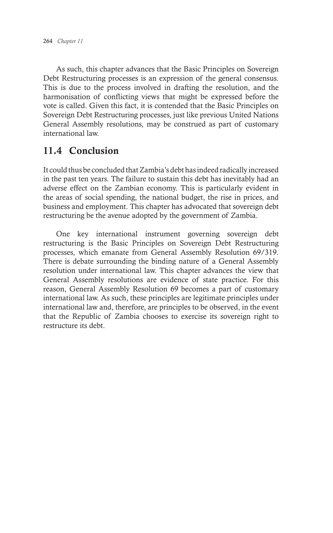As such, this chapter advances that the Basic Principles on Sovereign Debt Restructuring processes is an expression of the general consensus. This is due to the process involved in drafting the resolution, and the harmonisation of conflicting views that might be expressed before the vote is called. Given this fact, it is contended that the Basic Principles on Sovereign Debt Restructuring processes, just like previous United Nations General Assembly resolutions, may be construed as part of customary international law.

# 11.4 Conclusion

It could thus be concluded that Zambia's debt has indeed radically increased in the past ten years. The failure to sustain this debt has inevitably had an adverse effect on the Zambian economy. This is particularly evident in the areas of social spending, the national budget, the rise in prices, and business and employment. This chapter has advocated that sovereign debt restructuring be the avenue adopted by the government of Zambia.

One key international instrument governing sovereign debt restructuring is the Basic Principles on Sovereign Debt Restructuring processes, which emanate from General Assembly Resolution 69/319. There is debate surrounding the binding nature of a General Assembly resolution under international law. This chapter advances the view that General Assembly resolutions are evidence of state practice. For this reason, General Assembly Resolution 69 becomes a part of customary international law. As such, these principles are legitimate principles under international law and, therefore, are principles to be observed, in the event that the Republic of Zambia chooses to exercise its sovereign right to restructure its debt.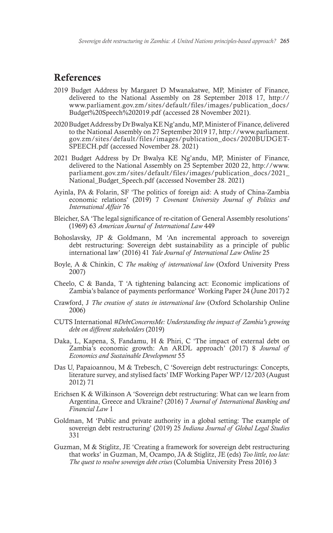# References

- 2019 Budget Address by Margaret D Mwanakatwe, MP, Minister of Finance, delivered to the National Assembly on 28 September 2018 17, http:// www.parliament.gov.zm/sites/default/files/images/publication\_docs/ Budget%20Speech%202019.pdf (accessed 28 November 2021).
- 2020 Budget Address by Dr Bwalya KE Ng'andu, MP, Minister of Finance, delivered to the National Assembly on 27 September 2019 17, http://www.parliament. gov.zm/sites/default/files/images/publication\_docs/2020BUDGET-SPEECH.pdf (accessed November 28. 2021)
- 2021 Budget Address by Dr Bwalya KE Ng'andu, MP, Minister of Finance, delivered to the National Assembly on 25 September 2020 22, http://www. parliament.gov.zm/sites/default/files/images/publication\_docs/2021\_ National\_Budget\_Speech.pdf (accessed November 28. 2021)
- Ayinla, PA & Folarin, SF 'The politics of foreign aid: A study of China-Zambia economic relations' (2019) 7 *Covenant University Journal of Politics and International Affair* 76
- Bleicher, SA 'The legal significance of re-citation of General Assembly resolutions' (1969) 63 *American Journal of International Law* 449
- Bohoslavsky, JP & Goldmann, M 'An incremental approach to sovereign debt restructuring: Sovereign debt sustainability as a principle of public international law' (2016) 41 *Yale Journal of International Law Online* 25
- Boyle, A & Chinkin, C *The making of international law* (Oxford University Press 2007)
- Cheelo, C & Banda, T 'A tightening balancing act: Economic implications of Zambia's balance of payments performance' Working Paper 24 (June 2017) 2
- Crawford, J *The creation of states in international law* (Oxford Scholarship Online 2006)
- CUTS International *#DebtConcernsMe: Understanding the impact of Zambia's growing debt on different stakeholders* (2019)
- Daka, L, Kapena, S, Fandamu, H & Phiri, C 'The impact of external debt on Zambia's economic growth: An ARDL approach' (2017) 8 *Journal of Economics and Sustainable Development* 55
- Das U, Papaioannou, M & Trebesch, C 'Sovereign debt restructurings: Concepts, literature survey, and stylised facts' IMF Working Paper WP/12/203 (August 2012) 71
- Erichsen K & Wilkinson A 'Sovereign debt restructuring: What can we learn from Argentina, Greece and Ukraine? (2016) 7 *Journal of International Banking and Financial Law* 1
- Goldman, M 'Public and private authority in a global setting: The example of sovereign debt restructuring' (2019) 25 *Indiana Journal of Global Legal Studies* 331
- Guzman, M & Stiglitz, JE 'Creating a framework for sovereign debt restructuring that works' in Guzman, M, Ocampo, JA & Stiglitz, JE (eds) *Too little, too late: The quest to resolve sovereign debt crises* (Columbia University Press 2016) 3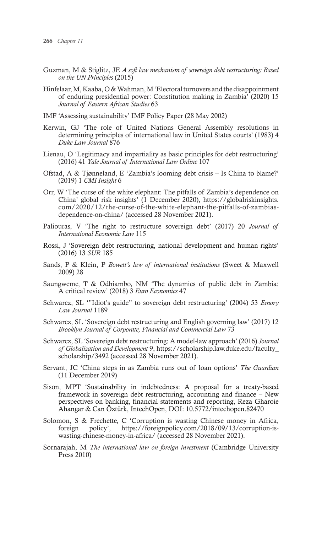- Guzman, M & Stiglitz, JE *A soft law mechanism of sovereign debt restructuring: Based on the UN Principles* (2015)
- Hinfelaar, M, Kaaba, O & Wahman, M 'Electoral turnovers and the disappointment of enduring presidential power: Constitution making in Zambia' (2020) 15 *Journal of Eastern African Studies* 63
- IMF 'Assessing sustainability' IMF Policy Paper (28 May 2002)
- Kerwin, GJ 'The role of United Nations General Assembly resolutions in determining principles of international law in United States courts' (1983) 4 *Duke Law Journal* 876
- Lienau, O 'Legitimacy and impartiality as basic principles for debt restructuring' (2016) 41 *Yale Journal of International Law Online* 107
- Ofstad, A & Tjønneland, E 'Zambia's looming debt crisis Is China to blame?' (2019) 1 *CMI Insight* 6
- Orr, W 'The curse of the white elephant: The pitfalls of Zambia's dependence on China' global risk insights' (1 December 2020), https://globalriskinsights. com/2020/12/the-curse-of-the-white-elephant-the-pitfalls-of-zambiasdependence-on-china/ (accessed 28 November 2021).
- Paliouras, V 'The right to restructure sovereign debt' (2017) 20 *Journal of International Economic Law* 115
- Rossi, J 'Sovereign debt restructuring, national development and human rights' (2016) 13 *SUR* 185
- Sands, P & Klein, P *Bowett's law of international institutions* (Sweet & Maxwell 2009) 28
- Saungweme, T & Odhiambo, NM 'The dynamics of public debt in Zambia: A critical review' (2018) 3 *Euro Economics* 47
- Schwarcz, SL '"Idiot's guide" to sovereign debt restructuring' (2004) 53 *Emory Law Journal* 1189
- Schwarcz, SL 'Sovereign debt restructuring and English governing law' (2017) 12 *Brooklyn Journal of Corporate, Financial and Commercial Law* 73
- Schwarcz, SL 'Sovereign debt restructuring: A model-law approach' (2016) *Journal of Globalization and Development* 9, https://scholarship.law.duke.edu/faculty\_ scholarship/3492 (accessed 28 November 2021).
- Servant, JC 'China steps in as Zambia runs out of loan options' *The Guardian* (11 December 2019)
- Sison, MPT 'Sustainability in indebtedness: A proposal for a treaty-based framework in sovereign debt restructuring, accounting and finance – New perspectives on banking, financial statements and reporting, Reza Gharoie Ahangar & Can Öztürk, IntechOpen, DOI: 10.5772/intechopen.82470
- Solomon, S & Frechette, C 'Corruption is wasting Chinese money in Africa, foreign policy', https://foreignpolicy.com/2018/09/13/corruption-iswasting-chinese-money-in-africa/ (accessed 28 November 2021).
- Sornarajah, M *The international law on foreign investment* (Cambridge University Press 2010)